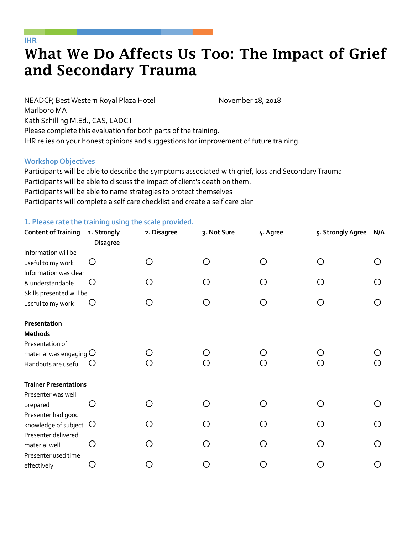## What We Do Affects Us Too: The Impact of Grief and Secondary Trauma

NEADCP, Best Western Royal Plaza Hotel Marlboro MA November 28, 2018 Kath Schilling M.Ed., CAS, LADC I Please complete this evaluation for both parts of the training. IHR relies on your honest opinions and suggestions for improvement of future training.

## **Workshop Objectives**

Participants will be able to describe the symptoms associated with grief, loss and Secondary Trauma Participants will be able to discuss the impact of client's death on them. Participants will be able to name strategies to protect themselves Participants will complete a self care checklist and create a self care plan

## **1. Please rate the training using the scale provided.**

| <b>Content of Training</b>                                                                     | 1. Strongly<br><b>Disagree</b> | 2. Disagree  | 3. Not Sure | 4. Agree | 5. Strongly Agree | N/A |
|------------------------------------------------------------------------------------------------|--------------------------------|--------------|-------------|----------|-------------------|-----|
| Information will be<br>useful to my work<br>Information was clear                              | Ő                              | ◯            |             |          |                   |     |
| & understandable                                                                               | $\left( \right)$               | ( )          |             |          |                   |     |
| Skills presented will be<br>useful to my work                                                  |                                |              |             |          |                   |     |
| Presentation<br>Methods<br>Presentation of<br>material was engaging $O$<br>Handouts are useful | $\cup$                         | ( )<br>◯     |             |          |                   |     |
| <b>Trainer Presentations</b>                                                                   |                                |              |             |          |                   |     |
| Presenter was well<br>prepared<br>Presenter had good                                           | $\left( \ \right)$             | ∩            |             |          |                   |     |
| knowledge of subject                                                                           | $\circ$                        | ∩            | ( )         |          | ◯                 |     |
| Presenter delivered<br>material well                                                           | ◯                              | ◯            | ◯           |          | ◯                 |     |
| Presenter used time<br>effectively                                                             | O                              | $\mathbf{a}$ |             |          |                   |     |

## **IHR**